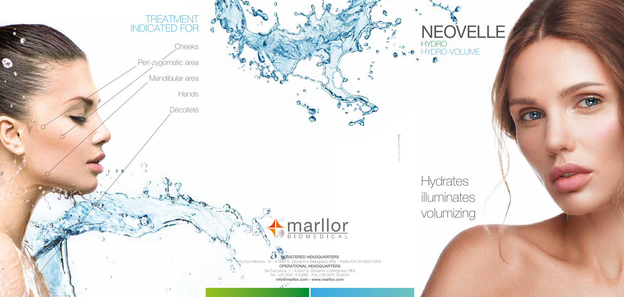